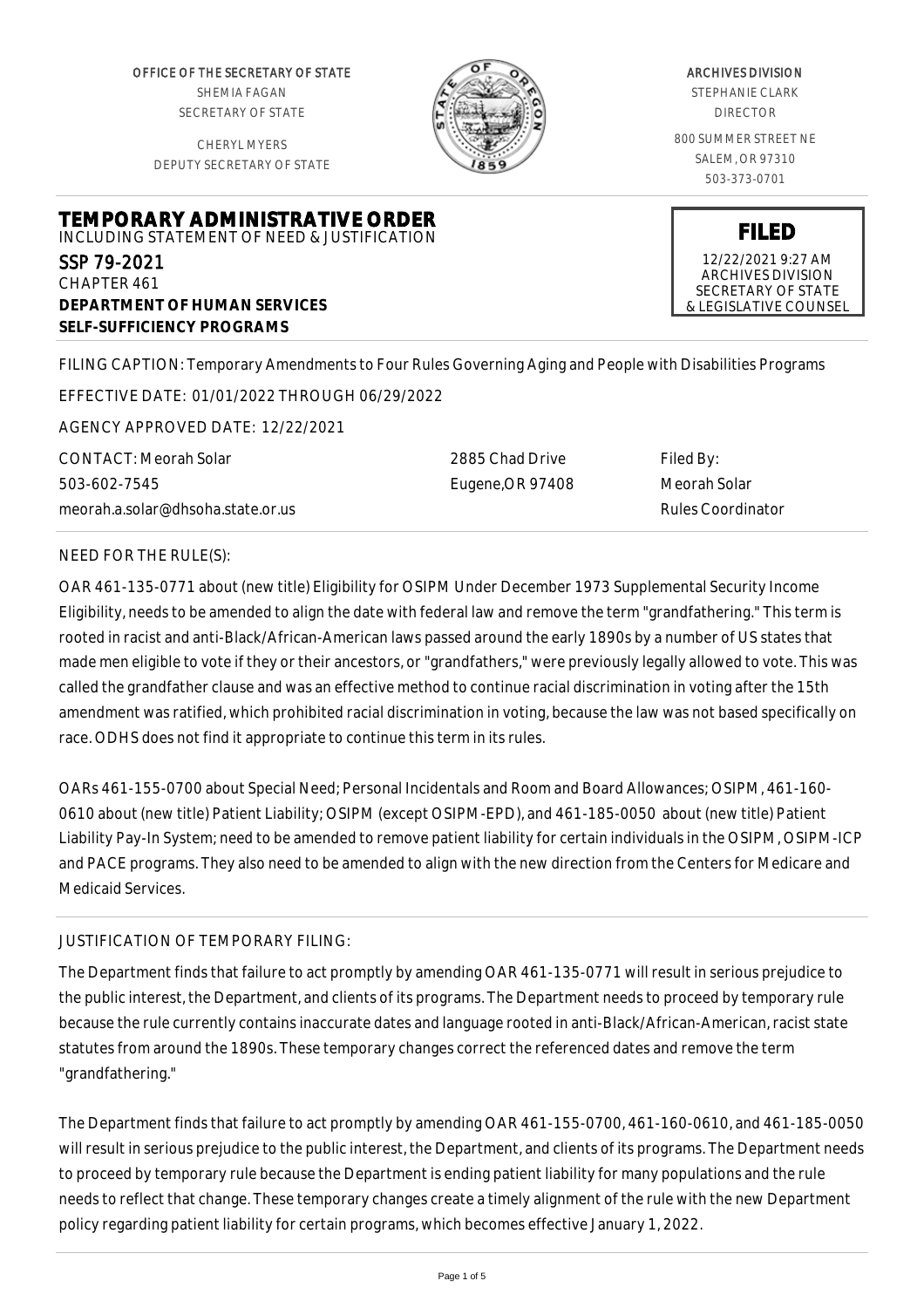OFFICE OF THE SECRETARY OF STATE SHEMIA FAGAN SECRETARY OF STATE

CHERYL MYERS DEPUTY SECRETARY OF STATE



## ARCHIVES DIVISION

STEPHANIE CLARK DIRECTOR

800 SUMMER STREET NE SALEM, OR 97310 503-373-0701

**FILED** 12/22/2021 9:27 AM ARCHIVES DIVISION SECRETARY OF STATE & LEGISLATIVE COUNSEL

# **TEMPORARY ADMINISTRATIVE ORDER** INCLUDING STATEMENT OF NEED & JUSTIFICATION SSP 79-2021 CHAPTER 461 **DEPARTMENT OF HUMAN SERVICES SELF-SUFFICIENCY PROGRAMS**

FILING CAPTION: Temporary Amendments to Four Rules Governing Aging and People with Disabilities Programs

EFFECTIVE DATE: 01/01/2022 THROUGH 06/29/2022

AGENCY APPROVED DATE: 12/22/2021

CONTACT: Meorah Solar 503-602-7545 meorah.a.solar@dhsoha.state.or.us 2885 Chad Drive Eugene,OR 97408 Filed By: Meorah Solar Rules Coordinator

## NEED FOR THE RULE(S):

OAR 461-135-0771 about (new title) Eligibility for OSIPM Under December 1973 Supplemental Security Income Eligibility, needs to be amended to align the date with federal law and remove the term "grandfathering." This term is rooted in racist and anti-Black/African-American laws passed around the early 1890s by a number of US states that made men eligible to vote if they or their ancestors, or "grandfathers," were previously legally allowed to vote. This was called the grandfather clause and was an effective method to continue racial discrimination in voting after the 15th amendment was ratified, which prohibited racial discrimination in voting, because the law was not based specifically on race. ODHS does not find it appropriate to continue this term in its rules.

OARs 461-155-0700 about Special Need; Personal Incidentals and Room and Board Allowances; OSIPM, 461-160- 0610 about (new title) Patient Liability; OSIPM (except OSIPM-EPD), and 461-185-0050 about (new title) Patient Liability Pay-In System; need to be amended to remove patient liability for certain individuals in the OSIPM, OSIPM-ICP and PACE programs. They also need to be amended to align with the new direction from the Centers for Medicare and Medicaid Services.

## JUSTIFICATION OF TEMPORARY FILING:

The Department finds that failure to act promptly by amending OAR 461-135-0771 will result in serious prejudice to the public interest, the Department, and clients of its programs. The Department needs to proceed by temporary rule because the rule currently contains inaccurate dates and language rooted in anti-Black/African-American, racist state statutes from around the 1890s. These temporary changes correct the referenced dates and remove the term "grandfathering."

The Department finds that failure to act promptly by amending OAR 461-155-0700, 461-160-0610, and 461-185-0050 will result in serious prejudice to the public interest, the Department, and clients of its programs. The Department needs to proceed by temporary rule because the Department is ending patient liability for many populations and the rule needs to reflect that change. These temporary changes create a timely alignment of the rule with the new Department policy regarding patient liability for certain programs, which becomes effective January 1, 2022.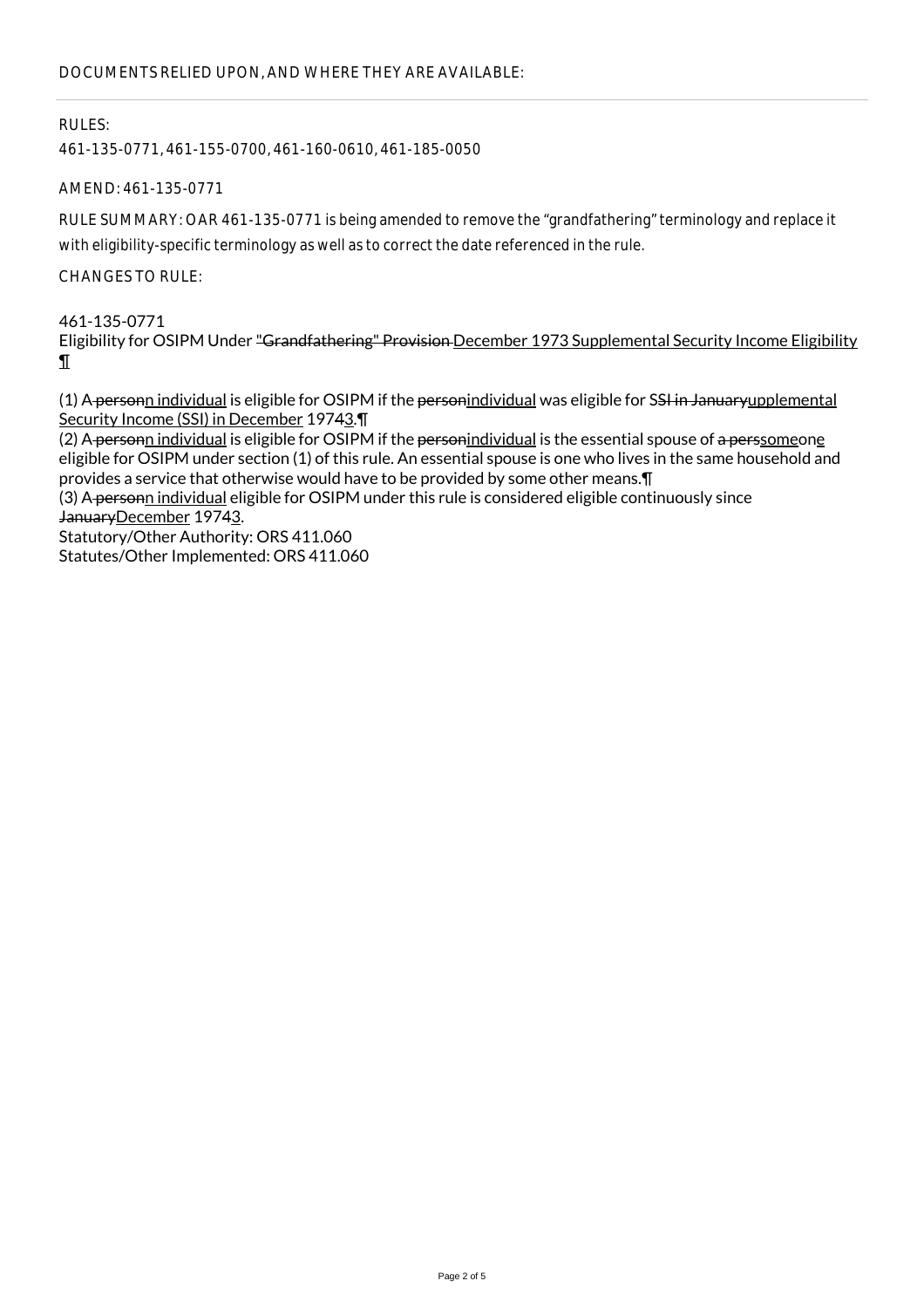## RULES:

461-135-0771, 461-155-0700, 461-160-0610, 461-185-0050

AMEND: 461-135-0771

RULE SUMMARY: OAR 461-135-0771 is being amended to remove the "grandfathering" terminology and replace it with eligibility-specific terminology as well as to correct the date referenced in the rule.

CHANGES TO RULE:

461-135-0771 Eligibility for OSIPM Under "Grandfathering" Provision December 1973 Supplemental Security Income Eligibility ¶

(1) A personn individual is eligible for OSIPM if the personindividual was eligible for SSI in Januaryupplemental Security Income (SSI) in December 19743.¶

(2) A personn individual is eligible for OSIPM if the personindividual is the essential spouse of a perssomeone eligible for OSIPM under section (1) of this rule. An essential spouse is one who lives in the same household and provides a service that otherwise would have to be provided by some other means.¶

(3) A personn individual eligible for OSIPM under this rule is considered eligible continuously since JanuaryDecember 19743. Statutory/Other Authority: ORS 411.060

Statutes/Other Implemented: ORS 411.060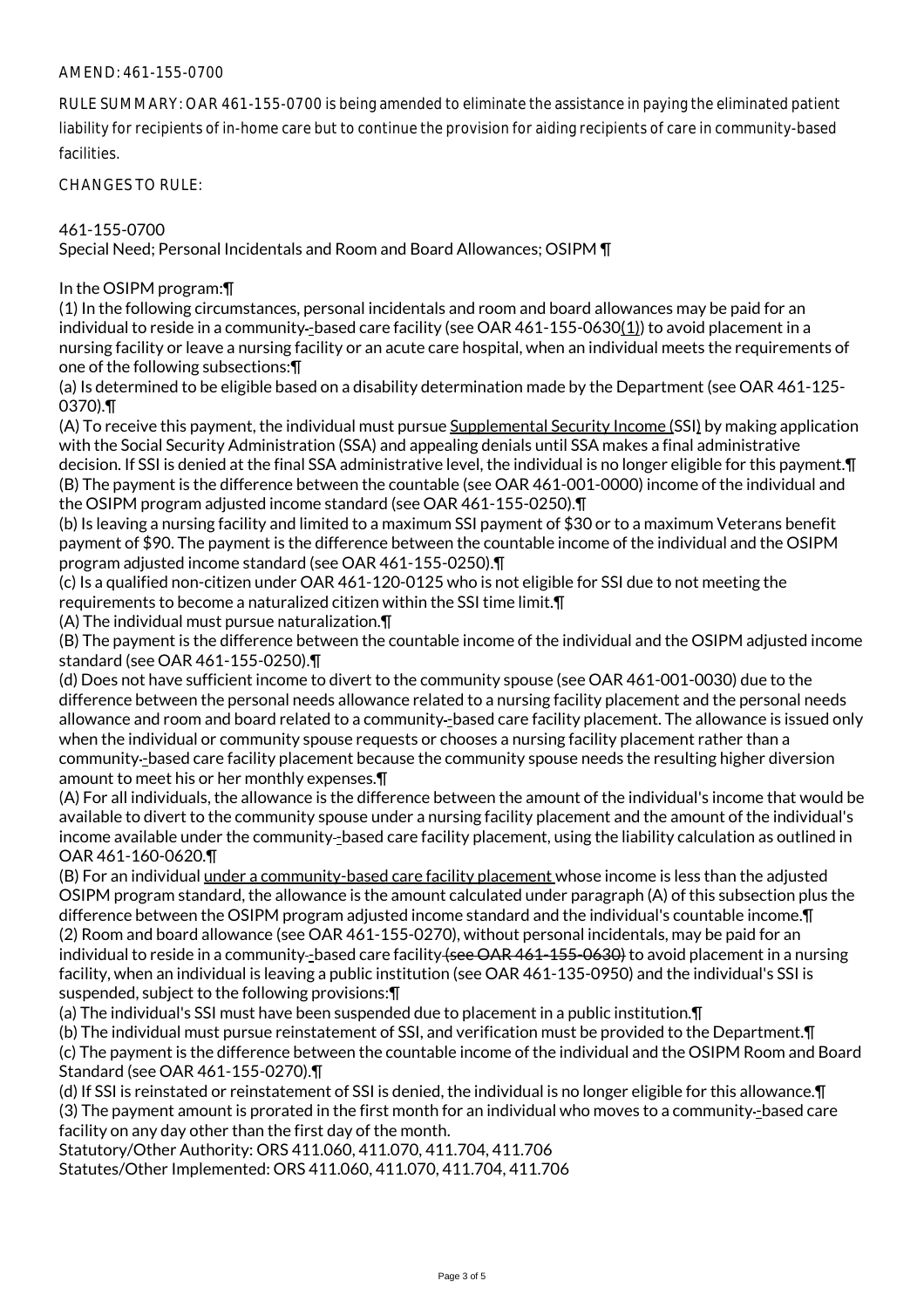### AMEND: 461-155-0700

RULE SUMMARY: OAR 461-155-0700 is being amended to eliminate the assistance in paying the eliminated patient liability for recipients of in-home care but to continue the provision for aiding recipients of care in community-based facilities.

CHANGES TO RULE:

## 461-155-0700

Special Need; Personal Incidentals and Room and Board Allowances; OSIPM ¶

#### In the OSIPM program:¶

(1) In the following circumstances, personal incidentals and room and board allowances may be paid for an individual to reside in a community-based care facility (see OAR 461-155-0630(1)) to avoid placement in a nursing facility or leave a nursing facility or an acute care hospital, when an individual meets the requirements of one of the following subsections:¶

(a) Is determined to be eligible based on a disability determination made by the Department (see OAR 461-125- 0370).¶

(A) To receive this payment, the individual must pursue Supplemental Security Income (SSI) by making application with the Social Security Administration (SSA) and appealing denials until SSA makes a final administrative decision. If SSI is denied at the final SSA administrative level, the individual is no longer eligible for this payment.¶ (B) The payment is the difference between the countable (see OAR 461-001-0000) income of the individual and the OSIPM program adjusted income standard (see OAR 461-155-0250).¶

(b) Is leaving a nursing facility and limited to a maximum SSI payment of \$30 or to a maximum Veterans benefit payment of \$90. The payment is the difference between the countable income of the individual and the OSIPM program adjusted income standard (see OAR 461-155-0250).¶

(c) Is a qualified non-citizen under OAR 461-120-0125 who is not eligible for SSI due to not meeting the requirements to become a naturalized citizen within the SSI time limit.¶

(A) The individual must pursue naturalization.¶

(B) The payment is the difference between the countable income of the individual and the OSIPM adjusted income standard (see OAR 461-155-0250).¶

(d) Does not have sufficient income to divert to the community spouse (see OAR 461-001-0030) due to the difference between the personal needs allowance related to a nursing facility placement and the personal needs allowance and room and board related to a community-based care facility placement. The allowance is issued only when the individual or community spouse requests or chooses a nursing facility placement rather than a community -based care facility placement because the community spouse needs the resulting higher diversion amount to meet his or her monthly expenses.¶

(A) For all individuals, the allowance is the difference between the amount of the individual's income that would be available to divert to the community spouse under a nursing facility placement and the amount of the individual's income available under the community-based care facility placement, using the liability calculation as outlined in OAR 461-160-0620.¶

(B) For an individual under a community-based care facility placement whose income is less than the adjusted OSIPM program standard, the allowance is the amount calculated under paragraph (A) of this subsection plus the difference between the OSIPM program adjusted income standard and the individual's countable income.¶ (2) Room and board allowance (see OAR 461-155-0270), without personal incidentals, may be paid for an individual to reside in a community-based care facility (see OAR 461-155-0630) to avoid placement in a nursing facility, when an individual is leaving a public institution (see OAR 461-135-0950) and the individual's SSI is suspended, subject to the following provisions:¶

(a) The individual's SSI must have been suspended due to placement in a public institution.¶

(b) The individual must pursue reinstatement of SSI, and verification must be provided to the Department.¶ (c) The payment is the difference between the countable income of the individual and the OSIPM Room and Board Standard (see OAR 461-155-0270).¶

(d) If SSI is reinstated or reinstatement of SSI is denied, the individual is no longer eligible for this allowance.¶ (3) The payment amount is prorated in the first month for an individual who moves to a community -based care facility on any day other than the first day of the month.

Statutory/Other Authority: ORS 411.060, 411.070, 411.704, 411.706 Statutes/Other Implemented: ORS 411.060, 411.070, 411.704, 411.706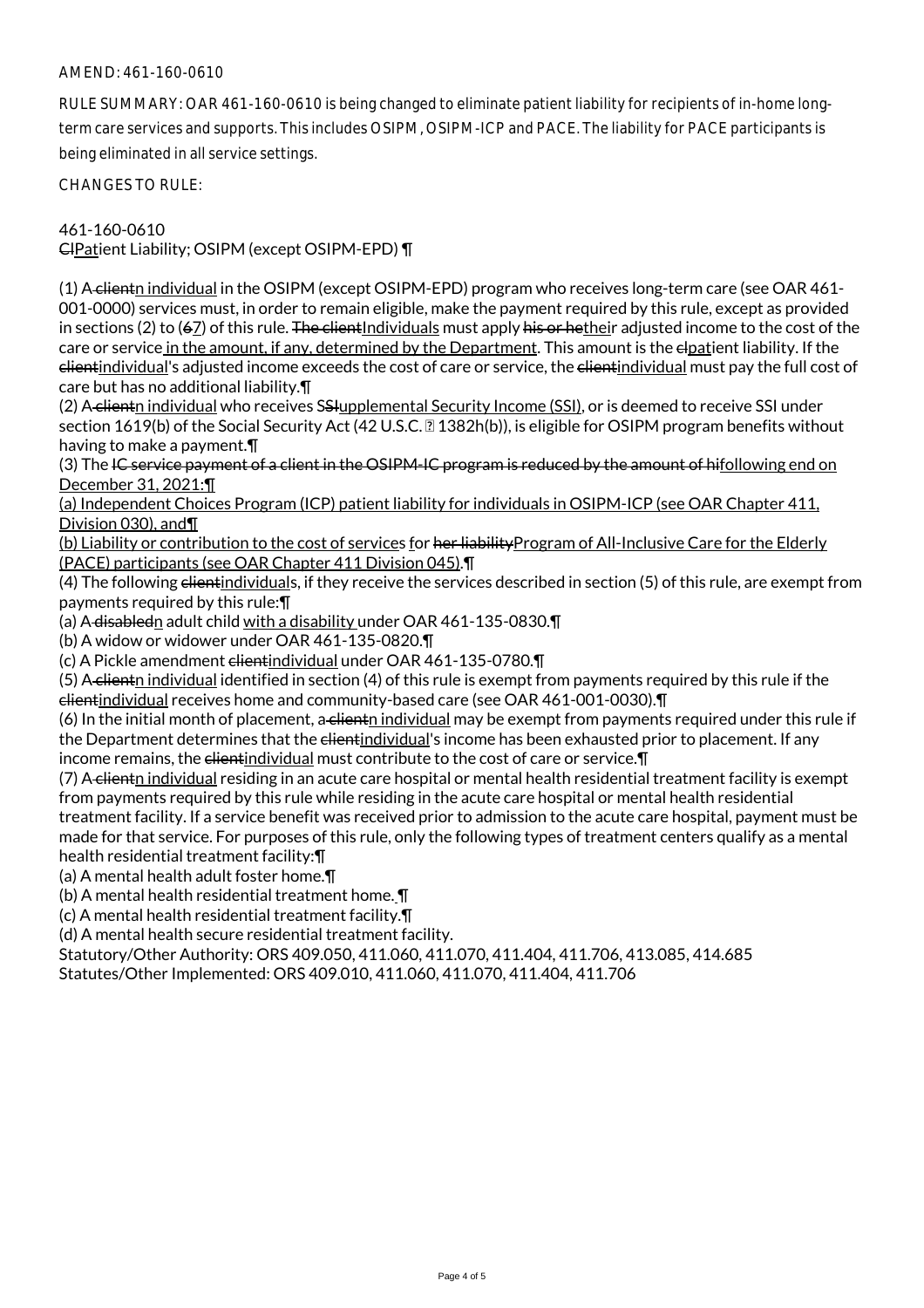### AMEND: 461-160-0610

RULE SUMMARY: OAR 461-160-0610 is being changed to eliminate patient liability for recipients of in-home longterm care services and supports. This includes OSIPM, OSIPM-ICP and PACE. The liability for PACE participants is being eliminated in all service settings.

CHANGES TO RULE:

461-160-0610

ClPatient Liability; OSIPM (except OSIPM-EPD) ¶

(1) A clientn individual in the OSIPM (except OSIPM-EPD) program who receives long-term care (see OAR 461-001-0000) services must, in order to remain eligible, make the payment required by this rule, except as provided in sections (2) to (67) of this rule. The client Individuals must apply his or hetheir adjusted income to the cost of the care or service in the amount, if any, determined by the Department. This amount is the elpatient liability. If the clientindividual's adjusted income exceeds the cost of care or service, the elientindividual must pay the full cost of care but has no additional liability.¶

(2) A-clientn individual who receives SSHupplemental Security Income (SSI), or is deemed to receive SSI under section 1619(b) of the Social Security Act (42 U.S.C. 1382h(b)), is eligible for OSIPM program benefits without having to make a payment.¶

(3) The IC service payment of a client in the OSIPM-IC program is reduced by the amount of hifollowing end on December 31, 2021:¶

(a) Independent Choices Program (ICP) patient liability for individuals in OSIPM-ICP (see OAR Chapter 411, Division 030), and¶

(b) Liability or contribution to the cost of services for her liabilityProgram of All-Inclusive Care for the Elderly (PACE) participants (see OAR Chapter 411 Division 045).¶

(4) The following elientindividuals, if they receive the services described in section (5) of this rule, are exempt from payments required by this rule:¶

(a) A disabledn adult child with a disability under OAR 461-135-0830.¶

(b) A widow or widower under OAR 461-135-0820.¶

(c) A Pickle amendment clientindividual under OAR 461-135-0780.¶

(5) A client individual identified in section (4) of this rule is exempt from payments required by this rule if the clientindividual receives home and community-based care (see OAR 461-001-0030).¶

 $(6)$  In the initial month of placement, a client individual may be exempt from payments required under this rule if the Department determines that the elientindividual's income has been exhausted prior to placement. If any income remains, the clientindividual must contribute to the cost of care or service.¶

(7) A clienth individual residing in an acute care hospital or mental health residential treatment facility is exempt from payments required by this rule while residing in the acute care hospital or mental health residential treatment facility. If a service benefit was received prior to admission to the acute care hospital, payment must be made for that service. For purposes of this rule, only the following types of treatment centers qualify as a mental health residential treatment facility:¶

(a) A mental health adult foster home.¶

(b) A mental health residential treatment home. ¶

(c) A mental health residential treatment facility.¶

(d) A mental health secure residential treatment facility.

Statutory/Other Authority: ORS 409.050, 411.060, 411.070, 411.404, 411.706, 413.085, 414.685 Statutes/Other Implemented: ORS 409.010, 411.060, 411.070, 411.404, 411.706